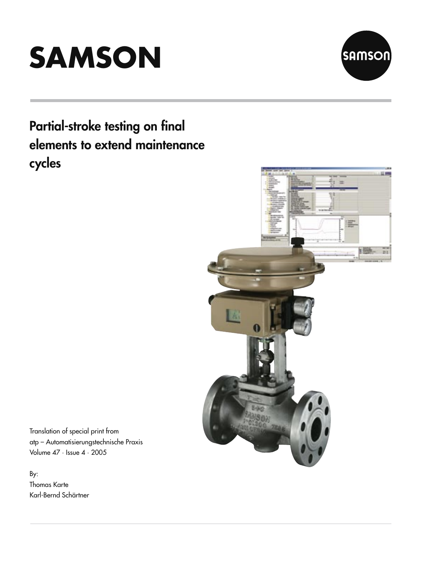



# Partial-stroke testing on final elements to extend maintenance cycles



Translation of special print from atp – Automatisierungstechnische Praxis Volume 47 · Issue 4 · 2005

By: Thomas Karte Karl-Bernd Schärtner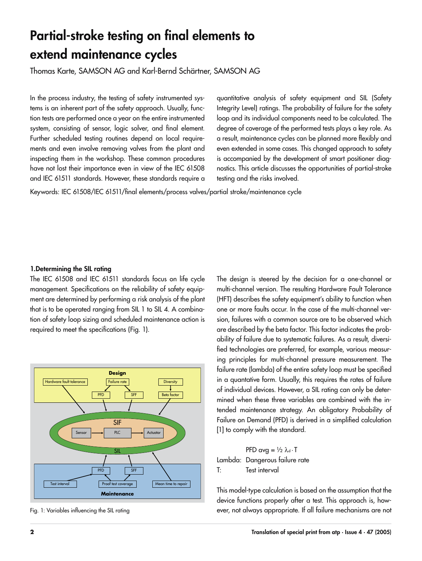## Partial-stroke testing on final elements to extend maintenance cycles

Thomas Karte, SAMSON AG and Karl-Bernd Schärtner, SAMSON AG

In the process industry, the testing of safety instrumented systems is an inherent part of the safety approach. Usually, function tests are performed once a year on the entire instrumented system, consisting of sensor, logic solver, and final element. Further scheduled testing routines depend on local requirements and even involve removing valves from the plant and inspecting them in the workshop. These common procedures have not lost their importance even in view of the IEC 61508 and IEC 61511 standards. However, these standards require a

quantitative analysis of safety equipment and SIL (Safety Integrity Level) ratings. The probability of failure for the safety loop and its individual components need to be calculated. The degree of coverage of the performed tests plays a key role. As a result, maintenance cycles can be planned more flexibly and even extended in some cases. This changed approach to safety is accompanied by the development of smart positioner diagnostics. This article discusses the opportunities of partial-stroke testing and the risks involved.

Keywords: IEC 61508/IEC 61511/final elements/process valves/partial stroke/maintenance cycle

#### 1. Determining the SIL rating

The IEC 61508 and IEC 61511 standards focus on life cycle management. Specifications on the reliability of safety equipment are determined by performing a risk analysis of the plant that is to be operated ranging from SIL 1 to SIL 4. A combination of safety loop sizing and scheduled maintenance action is required to meet the specifications (Fig. 1).



Fig. 1: Variables influencing the SIL rating

The design is steered by the decision for a one-channel or multi-channel version. The resulting Hardware Fault Tolerance (HFT) describes the safety equipment's ability to function when one or more faults occur. In the case of the multi-channel version, failures with a common source are to be observed which are described by the beta factor. This factor indicates the probability of failure due to systematic failures. As a result, diversified technologies are preferred, for example, various measuring principles for multi-channel pressure measurement. The failure rate (lambda) of the entire safety loop must be specified in a quantative form. Usually, this requires the rates of failure of individual devices. However, a SIL rating can only be determined when these three variables are combined with the intended maintenance strategy. An obligatory Probability of Failure on Demand (PFD) is derived in a simplified calculation [1] to comply with the standard.

PFD avg =  $\frac{1}{2} \lambda_d \cdot T$ Lambda: Dangerous failure rate T: Test interval

This model-type calculation is based on the assumption that the device functions properly after a test. This approach is, however, not always appropriate. If all failure mechanisms are not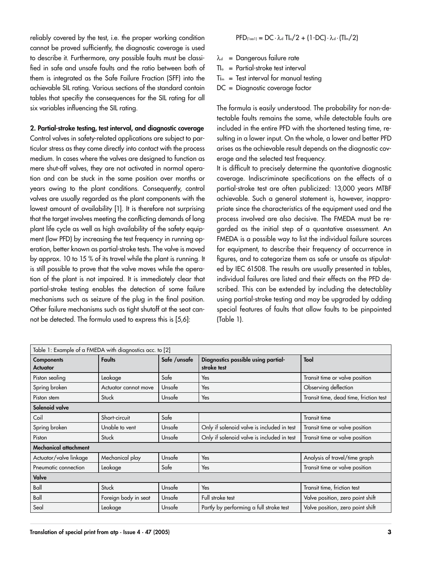reliably covered by the test, i.e. the proper working condition cannot be proved sufficiently, the diagnostic coverage is used to describe it. Furthermore, any possible faults must be classified in safe and unsafe faults and the ratio between both of them is integrated as the Safe Failure Fraction (SFF) into the achievable SIL rating. Various sections of the standard contain tables that specifiy the consequences for the SIL rating for all six variables influencing the SIL rating.

2. Partial-stroke testing, test interval, and diagnostic coverage Control valves in safety-related applications are subject to particular stress as they come directly into contact with the process medium. In cases where the valves are designed to function as mere shut-off valves, they are not activated in normal operation and can be stuck in the same position over months or years owing to the plant conditions. Consequently, control valves are usually regarded as the plant components with the lowest amount of availability [1]. It is therefore not surprising that the target involves meeting the conflicting demands of long plant life cycle as well as high availability of the safety equipment (low PFD) by increasing the test frequency in running operation, better known as partial-stroke tests. The valve is moved by approx. 10 to 15 % of its travel while the plant is running. It is still possible to prove that the valve moves while the operation of the plant is not impaired. It is immediately clear that partial-stroke testing enables the detection of some failure mechanisms such as seizure of the plug in the final position. Other failure mechanisms such as tight shutoff at the seat cannot be detected. The formula used to express this is [5,6]:

$$
\mathsf{PFD}_{\text{(1oo1)}} = \mathsf{DC} \cdot \lambda_d \; \mathsf{TI}_\circ / 2 + (1 \text{-DC}) \cdot \lambda_d \cdot (\mathsf{TI}_m / 2)
$$

- $\lambda_d$  = Dangerous failure rate
- $TI<sub>a</sub> = Partial-stroke test interval$
- $Ti<sub>m</sub>$  = Test interval for manual testing
- DC = Diagnostic coverage factor

The formula is easily understood. The probability for non-detectable faults remains the same, while detectable faults are included in the entire PFD with the shortened testing time, resulting in a lower input. On the whole, a lower and better PFD arises as the achievable result depends on the diagnostic coverage and the selected test frequency.

It is difficult to precisely determine the quantative diagnostic coverage. Indiscriminate specifications on the effects of a partial-stroke test are often publicized: 13,000 years MTBF achievable. Such a general statement is, however, inappropriate since the characteristics of the equipment used and the process involved are also decisive. The FMEDA must be regarded as the initial step of a quantative assessment. An FMEDA is a possible way to list the individual failure sources for equipment, to describe their frequency of occurrence in figures, and to categorize them as safe or unsafe as stipulated by IEC 61508. The results are usually presented in tables, individual failures are listed and their effects on the PFD described. This can be extended by including the detectablity using partial-stroke testing and may be upgraded by adding special features of faults that allow faults to be pinpointed (Table 1).

| Table 1: Example of a FMEDA with diagnostics acc. to [2] |                      |               |                                                    |                                        |
|----------------------------------------------------------|----------------------|---------------|----------------------------------------------------|----------------------------------------|
| <b>Components</b><br><b>Actuator</b>                     | <b>Faults</b>        | Safe / unsafe | Diagnostics possible using partial-<br>stroke test | Tool                                   |
| Piston sealing                                           | Leakage              | Safe          | Yes                                                | Transit time or valve position         |
| Spring broken                                            | Actuator cannot move | Unsafe        | Yes                                                | Observing deflection                   |
| Piston stem                                              | Stuck                | Unsafe        | Yes                                                | Transit time, dead time, friction test |
| Solenoid valve                                           |                      |               |                                                    |                                        |
| Coil                                                     | Short-circuit        | Safe          |                                                    | Transit time                           |
| Spring broken                                            | Unable to vent       | Unsafe        | Only if solenoid valve is included in test         | Transit time or valve position         |
| Piston                                                   | Stuck                | Unsafe        | Only if solenoid valve is included in test         | Transit time or valve position         |
| Mechanical attachment                                    |                      |               |                                                    |                                        |
| Actuator/valve linkage                                   | Mechanical play      | Unsafe        | Yes                                                | Analysis of travel/time graph          |
| Pneumatic connection                                     | Leakage              | Safe          | Yes                                                | Transit time or valve position         |
| Valve                                                    |                      |               |                                                    |                                        |
| Ball                                                     | Stuck                | Unsafe        | Yes                                                | Transit time, friction test            |
| Ball                                                     | Foreign body in seat | Unsafe        | Full stroke test                                   | Valve position, zero point shift       |
| Seal                                                     | Leakage              | Unsafe        | Partly by performing a full stroke test            | Valve position, zero point shift       |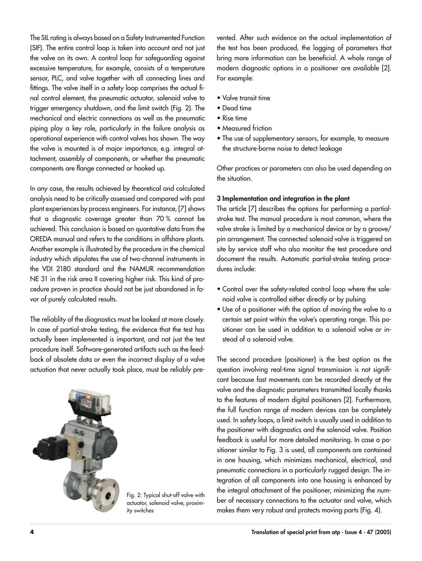The SIL rating is always based on a Safety Instrumented Function (SIF). The entire control loop is taken into account and not just the valve on its own. A control loop for safeguarding against excessive temperature, for example, consists of a temperature sensor, PLC, and valve together with all connecting lines and fittings. The valve itself in a safety loop comprises the actual final control element, the pneumatic actuator, solenoid valve to trigger emergency shutdown, and the limit switch (Fig. 2). The mechanical and electric connections as well as the pneumatic piping play a key role, particularly in the failure analysis as operational experience with control valves has shown. The way the valve is mounted is of major importance, e.g. integral attachment, assembly of components, or whether the pneumatic components are flange connected or hooked up.

In any case, the results achieved by theoretical and calculated analysis need to be critically assessed and compared with past plant experiences by process engineers. For instance, [7] shows that a diagnostic coverage greater than 70 % cannot be achieved. This conclusion is based on quantative data from the OREDA manual and refers to the conditions in offshore plants. Another example is illustrated by the procedure in the chemical industry which stipulates the use of two-channel instruments in the VDI 2180 standard and the NAMUR recommendation NE 31 in the risk area II covering higher risk. This kind of procedure proven in practice should not be just abandoned in favor of purely calculated results.

The reliablity of the diagnostics must be looked at more closely. In case of partial-stroke testing, the evidence that the test has actually been implemented is important, and not just the test procedure itself. Software-generated artifacts such as the feedback of obsolete data or even the incorrect display of a valve actuation that never actually took place, must be reliably pre-



Fig. 2: Typical shut-off valve with actuator, solenoid valve, proximity switches

vented. After such evidence on the actual implementation of the test has been produced, the logging of parameters that bring more information can be beneficial. A whole range of modern diagnostic options in a positioner are available [2]. For example:

- Valve transit time
- Dead time
- Rise time
- Measured friction
- The use of supplementary sensors, for example, to measure the structure-borne noise to detect leakage

Other practices or parameters can also be used depending on the situation.

#### 3 Implementation and integration in the plant

The article [7] describes the options for performing a partialstroke test. The manual procedure is most common, where the valve stroke is limited by a mechanical device or by a groove/ pin arrangement. The connected solenoid valve is triggered on site by service staff who also monitor the test procedure and document the results. Automatic partial-stroke testing procedures include:

- Control over the safety-related control loop where the solenoid valve is controlled either directly or by pulsing
- Use of a positioner with the option of moving the valve to a certain set point within the valve's operating range. This positioner can be used in addition to a solenoid valve or instead of a solenoid valve.

The second procedure (positioner) is the best option as the question involving real-time signal transmission is not significant because fast movements can be recorded directly at the valve and the diagnostic parameters transmitted locally thanks to the features of modern digital positioners [2]. Furthermore, the full function range of modern devices can be completely used. In safety loops, a limit switch is usually used in addition to the positioner with diagnostics and the solenoid valve. Position feedback is useful for more detailed monitoring. In case a positioner similar to Fig. 3 is used, all components are contained in one housing, which minimizes mechanical, electrical, and pneumatic connections in a particularly rugged design. The integration of all components into one housing is enhanced by the integral attachment of the positioner, minimizing the number of necessary connections to the actuator and valve, which makes them very robust and protects moving parts (Fig. 4).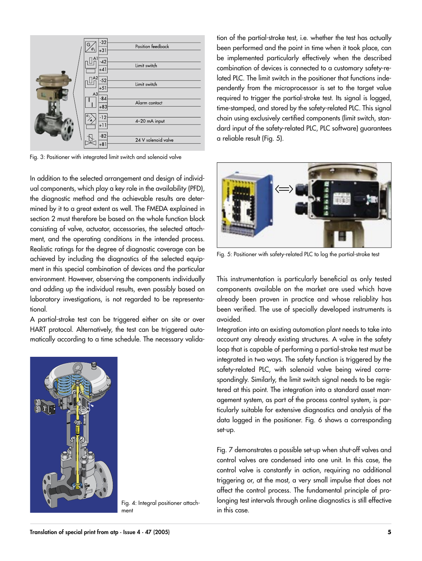

Fig. 3: Positioner with integrated limit switch and solenoid valve

In addition to the selected arrangement and design of individual components, which play a key role in the availability (PFD), the diagnostic method and the achievable results are determined by it to a great extent as well. The FMEDA explained in section 2 must therefore be based on the whole function block consisting of valve, actuator, accessories, the selected attachment, and the operating conditions in the intended process. Realistic ratings for the degree of diagnostic coverage can be achieved by including the diagnostics of the selected equipment in this special combination of devices and the particular environment. However, observing the components individually and adding up the individual results, even possibly based on laboratory investigations, is not regarded to be representational.

A partial-stroke test can be triggered either on site or over HART protocol. Alternatively, the test can be triggered automatically according to a time schedule. The necessary valida-



Fig. 4: Integral positioner attachment

tion of the partial-stroke test, i.e. whether the test has actually been performed and the point in time when it took place, can be implemented particularly effectively when the described combination of devices is connected to a customary safety-related PLC. The limit switch in the positioner that functions independently from the microprocessor is set to the target value required to trigger the partial-stroke test. Its signal is logged, time-stamped, and stored by the safety-related PLC. This signal chain using exclusively certified components (limit switch, standard input of the safety-related PLC, PLC software) guarantees a reliable result (Fig. 5).



Fig. 5: Positioner with safety-related PLC to log the partial-stroke test

This instrumentation is particularly beneficial as only tested components available on the market are used which have already been proven in practice and whose reliablity has been verified. The use of specially developed instruments is avoided.

Integration into an existing automation plant needs to take into account any already existing structures. A valve in the safety loop that is capable of performing a partial-stroke test must be integrated in two ways. The safety function is triggered by the safety-related PLC, with solenoid valve being wired correspondingly. Similarly, the limit switch signal needs to be registered at this point. The integration into a standard asset management system, as part of the process control system, is particularly suitable for extensive diagnostics and analysis of the data logged in the positioner. Fig. 6 shows a corresponding set-up.

Fig. 7 demonstrates a possible set-up when shut-off valves and control valves are condensed into one unit. In this case, the control valve is constantly in action, requiring no additional triggering or, at the most, a very small impulse that does not affect the control process. The fundamental principle of prolonging test intervals through online diagnostics is still effective in this case.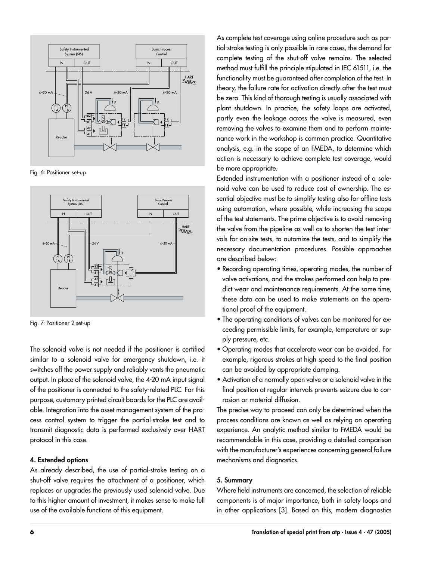

Fig. 6: Positioner set-up



Fig. 7: Positioner 2 set-up

The solenoid valve is not needed if the positioner is certified similar to a solenoid valve for emergency shutdown, i.e. it switches off the power supply and reliably vents the pneumatic output. In place of the solenoid valve, the 4-20 mA input signal of the positioner is connected to the safety-related PLC. For this purpose, customary printed circuit boards for the PLC are available. Integration into the asset management system of the process control system to trigger the partial-stroke test and to transmit diagnostic data is performed exclusively over HART protocol in this case.

#### 4. Extended options

As already described, the use of partial-stroke testing on a shut-off valve requires the attachment of a positioner, which replaces or upgrades the previously used solenoid valve. Due to this higher amount of investment, it makes sense to make full use of the available functions of this equipment.

As complete test coverage using online procedure such as partial-stroke testing is only possible in rare cases, the demand for complete testing of the shut-off valve remains. The selected method must fulfill the principle stipulated in IEC 61511, i.e. the functionality must be guaranteed after completion of the test. In theory, the failure rate for activation directly after the test must be zero. This kind of thorough testing is usually associated with plant shutdown. In practice, the safety loops are activated, partly even the leakage across the valve is measured, even removing the valves to examine them and to perform maintenance work in the workshop is common practice. Quantitative analysis, e.g. in the scope of an FMEDA, to determine which action is necessary to achieve complete test coverage, would be more appropriate.

Extended instrumentation with a positioner instead of a solenoid valve can be used to reduce cost of ownership. The essential objective must be to simplify testing also for offline tests using automation, where possible, while increasing the scope of the test statements. The prime objective is to avoid removing the valve from the pipeline as well as to shorten the test intervals for on-site tests, to automize the tests, and to simplify the necessary documentation procedures. Possible approaches are described below:

- Recording operating times, operating modes, the number of valve activations, and the strokes performed can help to predict wear and maintenance requirements. At the same time, these data can be used to make statements on the operational proof of the equipment.
- The operating conditions of valves can be monitored for exceeding permissible limits, for example, temperature or supply pressure, etc.
- Operating modes that accelerate wear can be avoided. For example, rigorous strokes at high speed to the final position can be avoided by appropriate damping.
- Activation of a normally open valve or a solenoid valve in the final position at regular intervals prevents seizure due to corrosion or material diffusion.

The precise way to proceed can only be determined when the process conditions are known as well as relying on operating experience. An analytic method similar to FMEDA would be recommendable in this case, providing a detailed comparison with the manufacturer's experiences concerning general failure mechanisms and diagnostics.

### 5. Summary

Where field instruments are concerned, the selection of reliable components is of major importance, both in safety loops and in other applications [3]. Based on this, modern diagnostics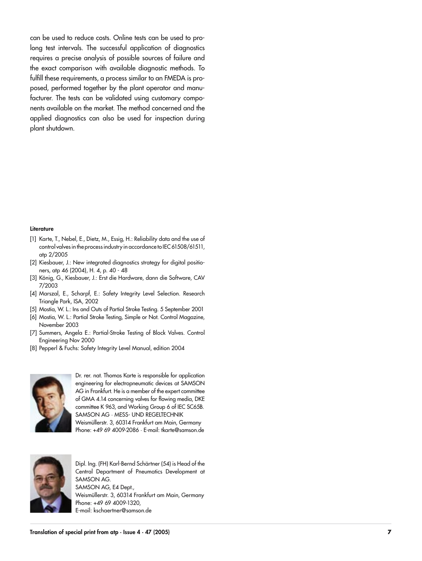can be used to reduce costs. Online tests can be used to pro long test intervals. The successful application of diagnostics requires a precise analysis of possible sources of failure and the exact comparison with available diagnostic methods. To fulfill these requirements, a process similar to an FMEDA is pro posed, performed together by the plant operator and manu facturer. The tests can be validated using customary compo nents available on the market. The method concerned and the applied diagnostics can also be used for inspection during plant shutdown.

#### Literature

- [1] Karte, T., Nebel, E., Dietz, M., Essig, H.: Reliability data and the use of control valves in the process industry in accordance to IEC 61508/61511, atp 2/2005
- [2] Kiesbauer, J.: New integrated diagnostics strategy for digital positio ners, atp 46 (2004), H. 4, p. 40 - 48
- [3] König, G., Kiesbauer, J.: Erst die Hardware, dann die Software, CAV 7/2003
- [4] Marszal, E., Scharpf, E.: Safety Integrity Level Selection. Research Triangle Park, ISA, 2002
- [5] Mostia, W. L.: Ins and Outs of Partial Stroke Testing. 5 September 2001
- [6] Mostia, W. L.: Partial Stroke Testing, Simple or Not. Control Magazine, November 2003
- [7] Summers, Angela E.: Partial-Stroke Testing of Block Valves. Control Engineering Nov 2000
- [8] Pepperl & Fuchs: Safety Integrity Level Manual, edition 2004



Dr. rer. nat. Thomas Karte is responsible for application engineering for electropneumatic devices at SAMSON AG in Frankfurt. He is a member of the expert committee of GMA 4.14 concerning valves for flowing media, DKE committee K 963, and Working Group 6 of IEC SC65B. SAMSON AG · MESS- UND REGELTECHNIK Weismüllerstr. 3, 60314 Frankfurt am Main, Germany Phone: +49 69 4009-2086 · E-mail: tkarte@samson.de



Dipl. Ing. (FH) Karl-Bernd Schärtner (54) is Head of the Central Department of Pneumatics Development at SAMSON AG. SAMSON AG, E4 Dept., Weismüllerstr. 3, 60314 Frankfurt am Main, Germany Phone: +49 69 4009-1320, E-mail: kschaertner@samson.de